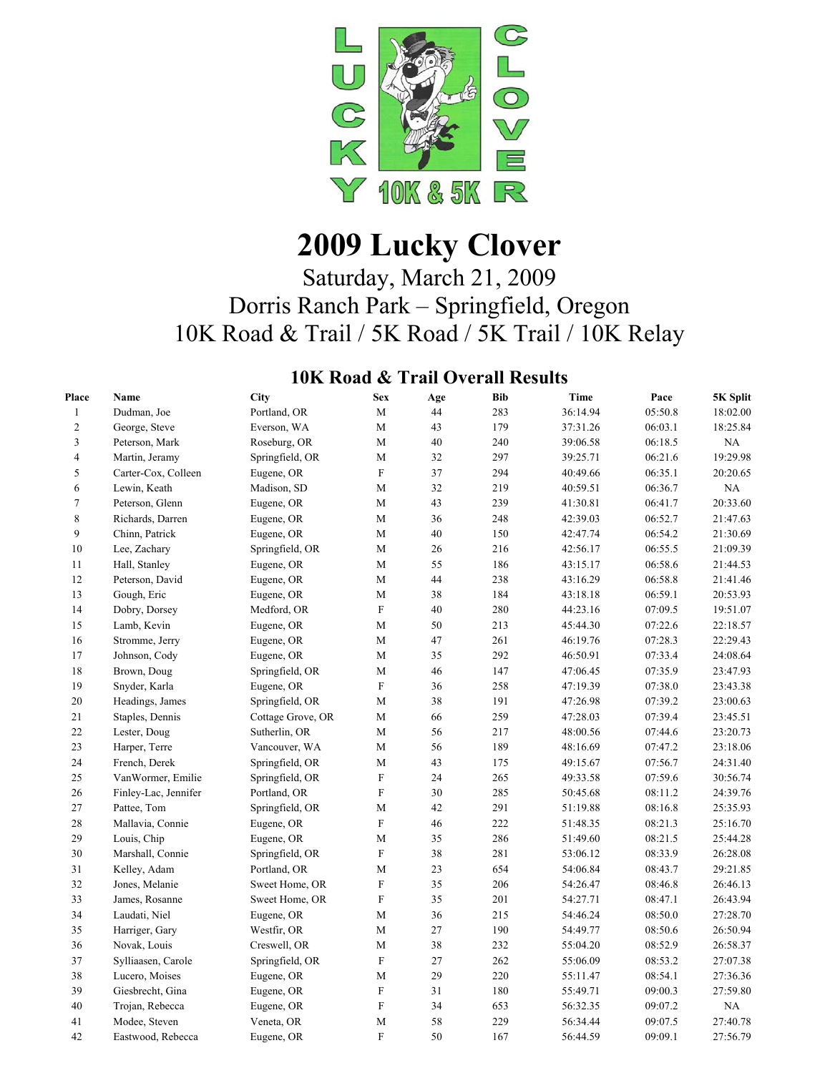

# **2009 Lucky Clover**

# Saturday, March 21, 2009 Dorris Ranch Park – Springfield, Oregon 10K Road & Trail / 5K Road / 5K Trail / 10K Relay

### **10K Road & Trail Overall Results**

| Place          | Name                 | City              | <b>Sex</b>                | Age | <b>Bib</b> | Time     | Pace    | 5K Split |
|----------------|----------------------|-------------------|---------------------------|-----|------------|----------|---------|----------|
| $\mathbf{1}$   | Dudman, Joe          | Portland, OR      | $\mathbf M$               | 44  | 283        | 36:14.94 | 05:50.8 | 18:02.00 |
| $\sqrt{2}$     | George, Steve        | Everson, WA       | M                         | 43  | 179        | 37:31.26 | 06:03.1 | 18:25.84 |
| $\mathfrak{Z}$ | Peterson, Mark       | Roseburg, OR      | $\mathbf M$               | 40  | 240        | 39:06.58 | 06:18.5 | NA       |
| $\overline{4}$ | Martin, Jeramy       | Springfield, OR   | M                         | 32  | 297        | 39:25.71 | 06:21.6 | 19:29.98 |
| 5              | Carter-Cox, Colleen  | Eugene, OR        | $\boldsymbol{\mathrm{F}}$ | 37  | 294        | 40:49.66 | 06:35.1 | 20:20.65 |
| 6              | Lewin, Keath         | Madison, SD       | M                         | 32  | 219        | 40:59.51 | 06:36.7 | NA       |
| $\tau$         | Peterson, Glenn      | Eugene, OR        | M                         | 43  | 239        | 41:30.81 | 06:41.7 | 20:33.60 |
| 8              | Richards, Darren     | Eugene, OR        | M                         | 36  | 248        | 42:39.03 | 06:52.7 | 21:47.63 |
| 9              | Chinn, Patrick       | Eugene, OR        | M                         | 40  | 150        | 42:47.74 | 06:54.2 | 21:30.69 |
| 10             | Lee, Zachary         | Springfield, OR   | M                         | 26  | 216        | 42:56.17 | 06:55.5 | 21:09.39 |
| 11             | Hall, Stanley        | Eugene, OR        | M                         | 55  | 186        | 43:15.17 | 06:58.6 | 21:44.53 |
| 12             | Peterson, David      | Eugene, OR        | $\mathbf M$               | 44  | 238        | 43:16.29 | 06:58.8 | 21:41.46 |
| 13             | Gough, Eric          | Eugene, OR        | M                         | 38  | 184        | 43:18.18 | 06:59.1 | 20:53.93 |
| 14             | Dobry, Dorsey        | Medford, OR       | $\boldsymbol{\mathrm{F}}$ | 40  | 280        | 44:23.16 | 07:09.5 | 19:51.07 |
| 15             | Lamb, Kevin          | Eugene, OR        | M                         | 50  | 213        | 45:44.30 | 07:22.6 | 22:18.57 |
| 16             | Stromme, Jerry       | Eugene, OR        | M                         | 47  | 261        | 46:19.76 | 07:28.3 | 22:29.43 |
| 17             | Johnson, Cody        | Eugene, OR        | M                         | 35  | 292        | 46:50.91 | 07:33.4 | 24:08.64 |
| 18             | Brown, Doug          | Springfield, OR   | M                         | 46  | 147        | 47:06.45 | 07:35.9 | 23:47.93 |
| 19             | Snyder, Karla        | Eugene, OR        | $\mathbf F$               | 36  | 258        | 47:19.39 | 07:38.0 | 23:43.38 |
| 20             | Headings, James      | Springfield, OR   | M                         | 38  | 191        | 47:26.98 | 07:39.2 | 23:00.63 |
| 21             | Staples, Dennis      | Cottage Grove, OR | M                         | 66  | 259        | 47:28.03 | 07:39.4 | 23:45.51 |
| 22             | Lester, Doug         | Sutherlin, OR     | $\mathbf M$               | 56  | 217        | 48:00.56 | 07:44.6 | 23:20.73 |
| 23             | Harper, Terre        | Vancouver, WA     | $\mathbf M$               | 56  | 189        | 48:16.69 | 07:47.2 | 23:18.06 |
| 24             | French, Derek        | Springfield, OR   | $\mathbf M$               | 43  | 175        | 49:15.67 | 07:56.7 | 24:31.40 |
| 25             | VanWormer, Emilie    | Springfield, OR   | ${\bf F}$                 | 24  | 265        | 49:33.58 | 07:59.6 | 30:56.74 |
| 26             | Finley-Lac, Jennifer | Portland, OR      | $\boldsymbol{\mathrm{F}}$ | 30  | 285        | 50:45.68 | 08:11.2 | 24:39.76 |
| 27             | Pattee, Tom          | Springfield, OR   | M                         | 42  | 291        | 51:19.88 | 08:16.8 | 25:35.93 |
| 28             | Mallavia, Connie     | Eugene, OR        | $\mathbf F$               | 46  | 222        | 51:48.35 | 08:21.3 | 25:16.70 |
| 29             | Louis, Chip          | Eugene, OR        | M                         | 35  | 286        | 51:49.60 | 08:21.5 | 25:44.28 |
| 30             | Marshall, Connie     | Springfield, OR   | $\mathbf F$               | 38  | 281        | 53:06.12 | 08:33.9 | 26:28.08 |
| 31             | Kelley, Adam         | Portland, OR      | M                         | 23  | 654        | 54:06.84 | 08:43.7 | 29:21.85 |
| 32             | Jones, Melanie       | Sweet Home, OR    | $\rm F$                   | 35  | 206        | 54:26.47 | 08:46.8 | 26:46.13 |
| 33             | James, Rosanne       | Sweet Home, OR    | $\mathbf F$               | 35  | 201        | 54:27.71 | 08:47.1 | 26:43.94 |
| 34             | Laudati, Niel        | Eugene, OR        | $\mathbf M$               | 36  | 215        | 54:46.24 | 08:50.0 | 27:28.70 |
| 35             | Harriger, Gary       | Westfir, OR       | M                         | 27  | 190        | 54:49.77 | 08:50.6 | 26:50.94 |
| 36             | Novak, Louis         | Creswell, OR      | M                         | 38  | 232        | 55:04.20 | 08:52.9 | 26:58.37 |
| 37             | Sylliaasen, Carole   | Springfield, OR   | $\boldsymbol{\mathrm{F}}$ | 27  | 262        | 55:06.09 | 08:53.2 | 27:07.38 |
| 38             | Lucero, Moises       | Eugene, OR        | M                         | 29  | 220        | 55:11.47 | 08:54.1 | 27:36.36 |
| 39             | Giesbrecht, Gina     | Eugene, OR        | ${\bf F}$                 | 31  | 180        | 55:49.71 | 09:00.3 | 27:59.80 |
| 40             | Trojan, Rebecca      | Eugene, OR        | $\mathbf F$               | 34  | 653        | 56:32.35 | 09:07.2 | NA       |
| 41             | Modee, Steven        | Veneta, OR        | M                         | 58  | 229        | 56:34.44 | 09:07.5 | 27:40.78 |
| 42             | Eastwood, Rebecca    | Eugene, OR        | ${\bf F}$                 | 50  | 167        | 56:44.59 | 09:09.1 | 27:56.79 |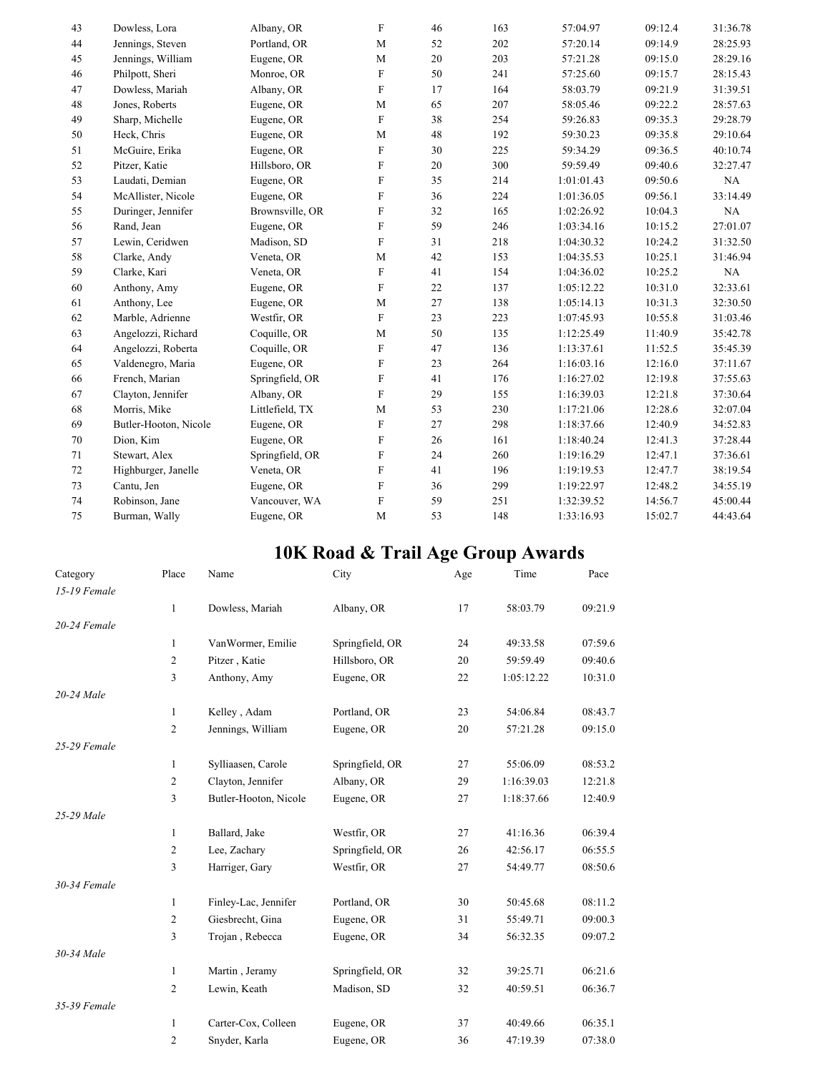| 43 | Dowless, Lora         | Albany, OR      | F                         | 46 | 163 | 57:04.97   | 09:12.4 | 31:36.78 |
|----|-----------------------|-----------------|---------------------------|----|-----|------------|---------|----------|
| 44 | Jennings, Steven      | Portland, OR    | M                         | 52 | 202 | 57:20.14   | 09:14.9 | 28:25.93 |
| 45 | Jennings, William     | Eugene, OR      | M                         | 20 | 203 | 57:21.28   | 09:15.0 | 28:29.16 |
| 46 | Philpott, Sheri       | Monroe, OR      | F                         | 50 | 241 | 57:25.60   | 09:15.7 | 28:15.43 |
| 47 | Dowless, Mariah       | Albany, OR      | $\boldsymbol{\mathrm{F}}$ | 17 | 164 | 58:03.79   | 09:21.9 | 31:39.51 |
| 48 | Jones, Roberts        | Eugene, OR      | M                         | 65 | 207 | 58:05.46   | 09:22.2 | 28:57.63 |
| 49 | Sharp, Michelle       | Eugene, OR      | ${\bf F}$                 | 38 | 254 | 59:26.83   | 09:35.3 | 29:28.79 |
| 50 | Heck, Chris           | Eugene, OR      | M                         | 48 | 192 | 59:30.23   | 09:35.8 | 29:10.64 |
| 51 | McGuire, Erika        | Eugene, OR      | F                         | 30 | 225 | 59:34.29   | 09:36.5 | 40:10.74 |
| 52 | Pitzer, Katie         | Hillsboro, OR   | F                         | 20 | 300 | 59:59.49   | 09:40.6 | 32:27.47 |
| 53 | Laudati, Demian       | Eugene, OR      | F                         | 35 | 214 | 1:01:01.43 | 09:50.6 | NA       |
| 54 | McAllister, Nicole    | Eugene, OR      | F                         | 36 | 224 | 1:01:36.05 | 09:56.1 | 33:14.49 |
| 55 | Duringer, Jennifer    | Brownsville, OR | F                         | 32 | 165 | 1:02:26.92 | 10:04.3 | NA       |
| 56 | Rand, Jean            | Eugene, OR      | $\mathbf F$               | 59 | 246 | 1:03:34.16 | 10:15.2 | 27:01.07 |
| 57 | Lewin, Ceridwen       | Madison, SD     | $\boldsymbol{\mathrm{F}}$ | 31 | 218 | 1:04:30.32 | 10:24.2 | 31:32.50 |
| 58 | Clarke, Andy          | Veneta, OR      | M                         | 42 | 153 | 1:04:35.53 | 10:25.1 | 31:46.94 |
| 59 | Clarke, Kari          | Veneta, OR      | F                         | 41 | 154 | 1:04:36.02 | 10:25.2 | NA       |
| 60 | Anthony, Amy          | Eugene, OR      | F                         | 22 | 137 | 1:05:12.22 | 10:31.0 | 32:33.61 |
| 61 | Anthony, Lee          | Eugene, OR      | M                         | 27 | 138 | 1:05:14.13 | 10:31.3 | 32:30.50 |
| 62 | Marble, Adrienne      | Westfir, OR     | F                         | 23 | 223 | 1:07:45.93 | 10:55.8 | 31:03.46 |
| 63 | Angelozzi, Richard    | Coquille, OR    | M                         | 50 | 135 | 1:12:25.49 | 11:40.9 | 35:42.78 |
| 64 | Angelozzi, Roberta    | Coquille, OR    | F                         | 47 | 136 | 1:13:37.61 | 11:52.5 | 35:45.39 |
| 65 | Valdenegro, Maria     | Eugene, OR      | F                         | 23 | 264 | 1:16:03.16 | 12:16.0 | 37:11.67 |
| 66 | French, Marian        | Springfield, OR | F                         | 41 | 176 | 1:16:27.02 | 12:19.8 | 37:55.63 |
| 67 | Clayton, Jennifer     | Albany, OR      | ${\bf F}$                 | 29 | 155 | 1:16:39.03 | 12:21.8 | 37:30.64 |
| 68 | Morris, Mike          | Littlefield, TX | M                         | 53 | 230 | 1:17:21.06 | 12:28.6 | 32:07.04 |
| 69 | Butler-Hooton, Nicole | Eugene, OR      | $\boldsymbol{\mathrm{F}}$ | 27 | 298 | 1:18:37.66 | 12:40.9 | 34:52.83 |
| 70 | Dion, Kim             | Eugene, OR      | F                         | 26 | 161 | 1:18:40.24 | 12:41.3 | 37:28.44 |
| 71 | Stewart, Alex         | Springfield, OR | $\boldsymbol{\mathrm{F}}$ | 24 | 260 | 1:19:16.29 | 12:47.1 | 37:36.61 |
| 72 | Highburger, Janelle   | Veneta, OR      | $\mathbf F$               | 41 | 196 | 1:19:19.53 | 12:47.7 | 38:19.54 |
| 73 | Cantu, Jen            | Eugene, OR      | F                         | 36 | 299 | 1:19:22.97 | 12:48.2 | 34:55.19 |
| 74 | Robinson, Jane        | Vancouver, WA   | F                         | 59 | 251 | 1:32:39.52 | 14:56.7 | 45:00.44 |
| 75 | Burman, Wally         | Eugene, OR      | M                         | 53 | 148 | 1:33:16.93 | 15:02.7 | 44:43.64 |

#### **10K Road & Trail Age Group Awards**

| Category     | Place          | Name                  | City            | Age | Time       | Pace    |
|--------------|----------------|-----------------------|-----------------|-----|------------|---------|
| 15-19 Female |                |                       |                 |     |            |         |
|              | 1              | Dowless, Mariah       | Albany, OR      | 17  | 58:03.79   | 09:21.9 |
| 20-24 Female |                |                       |                 |     |            |         |
|              | 1              | VanWormer, Emilie     | Springfield, OR | 24  | 49:33.58   | 07:59.6 |
|              | $\overline{2}$ | Pitzer, Katie         | Hillsboro, OR   | 20  | 59:59.49   | 09:40.6 |
|              | 3              | Anthony, Amy          | Eugene, OR      | 22  | 1:05:12.22 | 10:31.0 |
| 20-24 Male   |                |                       |                 |     |            |         |
|              | 1              | Kelley, Adam          | Portland, OR    | 23  | 54:06.84   | 08:43.7 |
|              | $\overline{2}$ | Jennings, William     | Eugene, OR      | 20  | 57:21.28   | 09:15.0 |
| 25-29 Female |                |                       |                 |     |            |         |
|              | 1              | Sylliaasen, Carole    | Springfield, OR | 27  | 55:06.09   | 08:53.2 |
|              | $\overline{2}$ | Clayton, Jennifer     | Albany, OR      | 29  | 1:16:39.03 | 12:21.8 |
|              | 3              | Butler-Hooton, Nicole | Eugene, OR      | 27  | 1:18:37.66 | 12:40.9 |
| 25-29 Male   |                |                       |                 |     |            |         |
|              | 1              | Ballard, Jake         | Westfir, OR     | 27  | 41:16.36   | 06:39.4 |
|              | $\overline{c}$ | Lee, Zachary          | Springfield, OR | 26  | 42:56.17   | 06:55.5 |
|              | $\mathfrak{Z}$ | Harriger, Gary        | Westfir, OR     | 27  | 54:49.77   | 08:50.6 |
| 30-34 Female |                |                       |                 |     |            |         |
|              | $\mathbf{1}$   | Finley-Lac, Jennifer  | Portland, OR    | 30  | 50:45.68   | 08:11.2 |
|              | $\overline{2}$ | Giesbrecht, Gina      | Eugene, OR      | 31  | 55:49.71   | 09:00.3 |
|              | 3              | Trojan, Rebecca       | Eugene, OR      | 34  | 56:32.35   | 09:07.2 |
| 30-34 Male   |                |                       |                 |     |            |         |
|              | 1              | Martin, Jeramy        | Springfield, OR | 32  | 39:25.71   | 06:21.6 |
|              | $\overline{2}$ | Lewin, Keath          | Madison, SD     | 32  | 40:59.51   | 06:36.7 |
| 35-39 Female |                |                       |                 |     |            |         |
|              | 1              | Carter-Cox, Colleen   | Eugene, OR      | 37  | 40:49.66   | 06:35.1 |
|              | $\overline{2}$ | Snyder, Karla         | Eugene, OR      | 36  | 47:19.39   | 07:38.0 |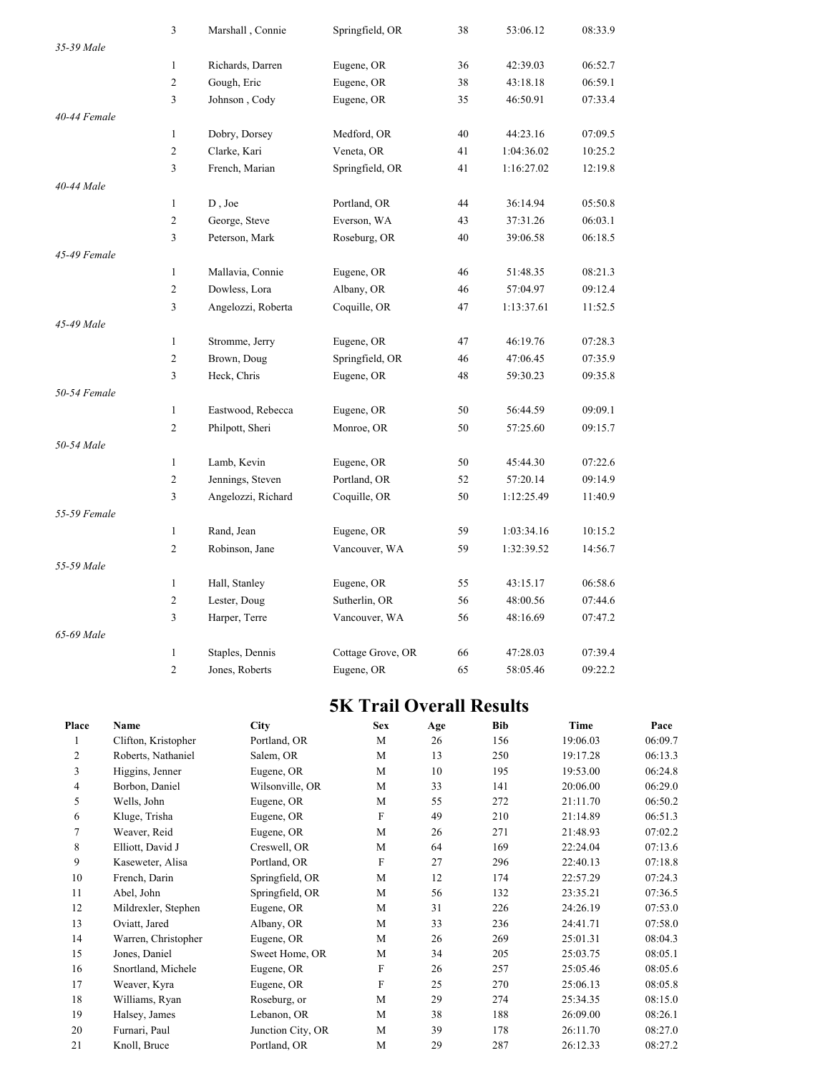|              | 3                       | Marshall, Connie   | Springfield, OR   | 38 | 53:06.12   | 08:33.9 |
|--------------|-------------------------|--------------------|-------------------|----|------------|---------|
| 35-39 Male   |                         |                    |                   |    |            |         |
|              | $\mathbf{1}$            | Richards, Darren   | Eugene, OR        | 36 | 42:39.03   | 06:52.7 |
|              | $\overline{c}$          | Gough, Eric        | Eugene, OR        | 38 | 43:18.18   | 06:59.1 |
|              | 3                       | Johnson, Cody      | Eugene, OR        | 35 | 46:50.91   | 07:33.4 |
| 40-44 Female |                         |                    |                   |    |            |         |
|              | $\mathbf{1}$            | Dobry, Dorsey      | Medford, OR       | 40 | 44:23.16   | 07:09.5 |
|              | $\sqrt{2}$              | Clarke, Kari       | Veneta, OR        | 41 | 1:04:36.02 | 10:25.2 |
|              | 3                       | French, Marian     | Springfield, OR   | 41 | 1:16:27.02 | 12:19.8 |
| 40-44 Male   |                         |                    |                   |    |            |         |
|              | $\mathbf{1}$            | D, Joe             | Portland, OR      | 44 | 36:14.94   | 05:50.8 |
|              | $\overline{c}$          | George, Steve      | Everson, WA       | 43 | 37:31.26   | 06:03.1 |
|              | 3                       | Peterson, Mark     | Roseburg, OR      | 40 | 39:06.58   | 06:18.5 |
| 45-49 Female |                         |                    |                   |    |            |         |
|              | $\mathbf{1}$            | Mallavia, Connie   | Eugene, OR        | 46 | 51:48.35   | 08:21.3 |
|              | $\sqrt{2}$              | Dowless, Lora      | Albany, OR        | 46 | 57:04.97   | 09:12.4 |
|              | 3                       | Angelozzi, Roberta | Coquille, OR      | 47 | 1:13:37.61 | 11:52.5 |
| 45-49 Male   |                         |                    |                   |    |            |         |
|              | $\mathbf{1}$            | Stromme, Jerry     | Eugene, OR        | 47 | 46:19.76   | 07:28.3 |
|              | $\boldsymbol{2}$        | Brown, Doug        | Springfield, OR   | 46 | 47:06.45   | 07:35.9 |
|              | 3                       | Heck, Chris        | Eugene, OR        | 48 | 59:30.23   | 09:35.8 |
| 50-54 Female |                         |                    |                   |    |            |         |
|              | $\mathbf{1}$            | Eastwood, Rebecca  | Eugene, OR        | 50 | 56:44.59   | 09:09.1 |
|              | 2                       | Philpott, Sheri    | Monroe, OR        | 50 | 57:25.60   | 09:15.7 |
| 50-54 Male   |                         |                    |                   |    |            |         |
|              | $\mathbf{1}$            | Lamb, Kevin        | Eugene, OR        | 50 | 45:44.30   | 07:22.6 |
|              | $\boldsymbol{2}$        | Jennings, Steven   | Portland, OR      | 52 | 57:20.14   | 09:14.9 |
|              | $\overline{\mathbf{3}}$ | Angelozzi, Richard | Coquille, OR      | 50 | 1:12:25.49 | 11:40.9 |
| 55-59 Female |                         |                    |                   |    |            |         |
|              | $\mathbf{1}$            | Rand, Jean         | Eugene, OR        | 59 | 1:03:34.16 | 10:15.2 |
|              | $\overline{2}$          | Robinson, Jane     | Vancouver, WA     | 59 | 1:32:39.52 | 14:56.7 |
| 55-59 Male   |                         |                    |                   |    |            |         |
|              | $\mathbf{1}$            | Hall, Stanley      | Eugene, OR        | 55 | 43:15.17   | 06:58.6 |
|              | $\overline{c}$          | Lester, Doug       | Sutherlin, OR     | 56 | 48:00.56   | 07:44.6 |
|              | 3                       | Harper, Terre      | Vancouver, WA     | 56 | 48:16.69   | 07:47.2 |
| 65-69 Male   |                         |                    |                   |    |            |         |
|              | $\mathbf{1}$            | Staples, Dennis    | Cottage Grove, OR | 66 | 47:28.03   | 07:39.4 |
|              | $\overline{c}$          | Jones, Roberts     | Eugene, OR        | 65 | 58:05.46   | 09:22.2 |

## **5K Trail Overall Results**

| Place          | Name                | <b>City</b>       | <b>Sex</b> | Age | <b>Bib</b> | Time     | Pace    |
|----------------|---------------------|-------------------|------------|-----|------------|----------|---------|
|                | Clifton, Kristopher | Portland, OR      | M          | 26  | 156        | 19:06.03 | 06:09.7 |
| $\overline{c}$ | Roberts, Nathaniel  | Salem, OR         | M          | 13  | 250        | 19:17.28 | 06:13.3 |
| 3              | Higgins, Jenner     | Eugene, OR        | M          | 10  | 195        | 19:53.00 | 06:24.8 |
| 4              | Borbon, Daniel      | Wilsonville, OR   | M          | 33  | 141        | 20:06.00 | 06:29.0 |
| 5              | Wells, John         | Eugene, OR        | M          | 55  | 272        | 21:11.70 | 06:50.2 |
| 6              | Kluge, Trisha       | Eugene, OR        | F          | 49  | 210        | 21:14.89 | 06:51.3 |
| 7              | Weaver, Reid        | Eugene, OR        | M          | 26  | 271        | 21:48.93 | 07:02.2 |
| 8              | Elliott, David J    | Creswell, OR      | M          | 64  | 169        | 22:24.04 | 07:13.6 |
| 9              | Kaseweter, Alisa    | Portland, OR      | F          | 27  | 296        | 22:40.13 | 07:18.8 |
| 10             | French, Darin       | Springfield, OR   | M          | 12  | 174        | 22:57.29 | 07:24.3 |
| 11             | Abel, John          | Springfield, OR   | M          | 56  | 132        | 23:35.21 | 07:36.5 |
| 12             | Mildrexler, Stephen | Eugene, OR        | M          | 31  | 226        | 24:26.19 | 07:53.0 |
| 13             | Oviatt, Jared       | Albany, OR        | M          | 33  | 236        | 24:41.71 | 07:58.0 |
| 14             | Warren, Christopher | Eugene, OR        | M          | 26  | 269        | 25:01.31 | 08:04.3 |
| 15             | Jones, Daniel       | Sweet Home, OR    | M          | 34  | 205        | 25:03.75 | 08:05.1 |
| 16             | Snortland, Michele  | Eugene, OR        | F          | 26  | 257        | 25:05.46 | 08:05.6 |
| 17             | Weaver, Kyra        | Eugene, OR        | F          | 25  | 270        | 25:06.13 | 08:05.8 |
| 18             | Williams, Ryan      | Roseburg, or      | M          | 29  | 274        | 25:34.35 | 08:15.0 |
| 19             | Halsey, James       | Lebanon, OR       | M          | 38  | 188        | 26:09.00 | 08:26.1 |
| 20             | Furnari, Paul       | Junction City, OR | M          | 39  | 178        | 26:11.70 | 08:27.0 |
| 21             | Knoll, Bruce        | Portland, OR      | M          | 29  | 287        | 26:12.33 | 08:27.2 |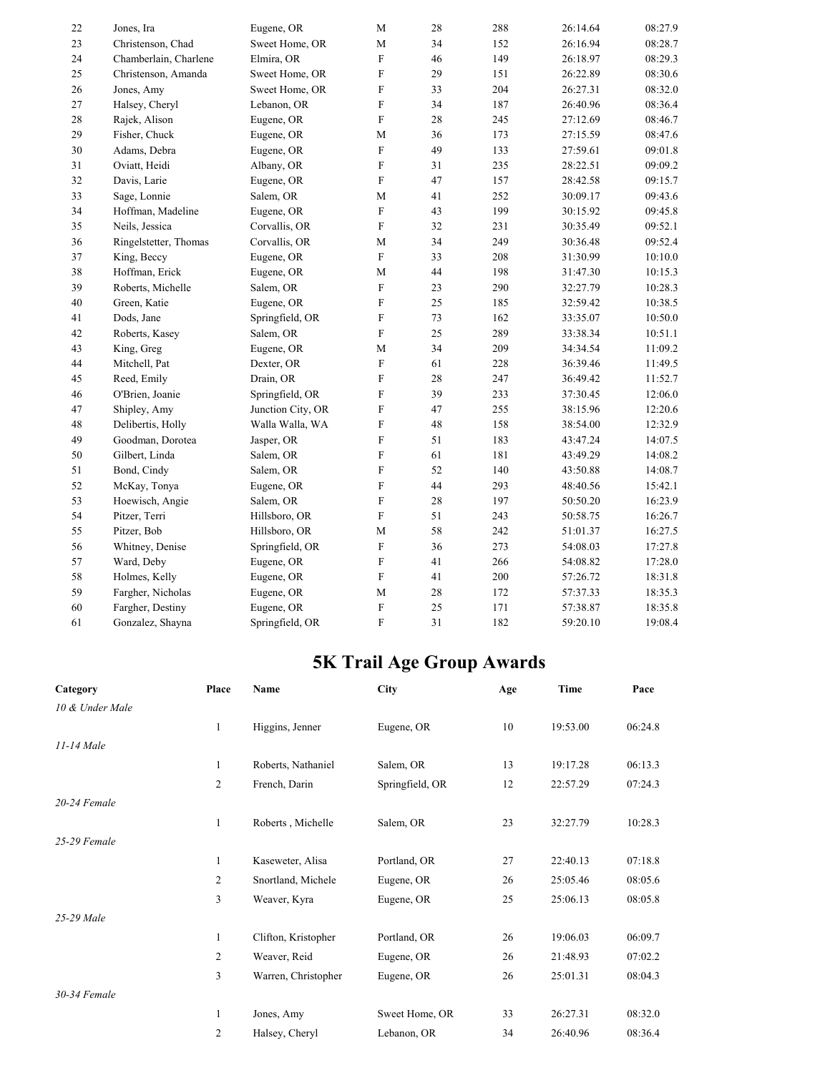| Jones, Ira<br>Christenson, Chad<br>Chamberlain, Charlene<br>Christenson, Amanda<br>Jones, Amy<br>Halsey, Cheryl<br>Rajek, Alison | Eugene, OR<br>Sweet Home, OR<br>Elmira, OR<br>Sweet Home, OR<br>Sweet Home, OR<br>Lebanon, OR | M<br>$\mathbf M$<br>${\bf F}$<br>${\bf F}$<br>$\boldsymbol{\mathrm{F}}$ | 28<br>34<br>46<br>29 | 288<br>152<br>149<br>151 | 26:14.64<br>26:16.94<br>26:18.97 | 08:27.9<br>08:28.7<br>08:29.3 |
|----------------------------------------------------------------------------------------------------------------------------------|-----------------------------------------------------------------------------------------------|-------------------------------------------------------------------------|----------------------|--------------------------|----------------------------------|-------------------------------|
|                                                                                                                                  |                                                                                               |                                                                         |                      |                          |                                  |                               |
|                                                                                                                                  |                                                                                               |                                                                         |                      |                          |                                  |                               |
|                                                                                                                                  |                                                                                               |                                                                         |                      |                          |                                  |                               |
|                                                                                                                                  |                                                                                               |                                                                         |                      |                          | 26:22.89                         | 08:30.6                       |
|                                                                                                                                  |                                                                                               |                                                                         | 33                   | 204                      | 26:27.31                         | 08:32.0                       |
|                                                                                                                                  |                                                                                               | ${\bf F}$                                                               | 34                   | 187                      | 26:40.96                         | 08:36.4                       |
|                                                                                                                                  |                                                                                               | $\overline{F}$                                                          | 28                   | 245                      | 27:12.69                         | 08:46.7                       |
|                                                                                                                                  | Eugene, OR                                                                                    | $\mathbf M$                                                             | 36                   | 173                      | 27:15.59                         | 08:47.6                       |
| Adams, Debra                                                                                                                     | Eugene, OR                                                                                    | ${\bf F}$                                                               | 49                   | 133                      | 27:59.61                         | 09:01.8                       |
| Oviatt, Heidi                                                                                                                    | Albany, OR                                                                                    | $\mathbf F$                                                             | 31                   | 235                      | 28:22.51                         | 09:09.2                       |
| Davis, Larie                                                                                                                     | Eugene, OR                                                                                    | ${\bf F}$                                                               | 47                   | 157                      | 28:42.58                         | 09:15.7                       |
| Sage, Lonnie                                                                                                                     | Salem, OR                                                                                     | M                                                                       | 41                   | 252                      | 30:09.17                         | 09:43.6                       |
| Hoffman, Madeline                                                                                                                | Eugene, OR                                                                                    | ${\bf F}$                                                               | 43                   | 199                      | 30:15.92                         | 09:45.8                       |
| Neils, Jessica                                                                                                                   | Corvallis, OR                                                                                 | $\overline{F}$                                                          | 32                   | 231                      | 30:35.49                         | 09:52.1                       |
| Ringelstetter, Thomas                                                                                                            | Corvallis, OR                                                                                 | $\mathbf M$                                                             | 34                   | 249                      | 30:36.48                         | 09:52.4                       |
| King, Beccy                                                                                                                      | Eugene, OR                                                                                    | $\mathbf F$                                                             | 33                   | 208                      | 31:30.99                         | 10:10.0                       |
| Hoffman, Erick                                                                                                                   | Eugene, OR                                                                                    | M                                                                       | 44                   | 198                      | 31:47.30                         | 10:15.3                       |
| Roberts, Michelle                                                                                                                | Salem, OR                                                                                     | F                                                                       | 23                   | 290                      | 32:27.79                         | 10:28.3                       |
| Green, Katie                                                                                                                     | Eugene, OR                                                                                    | $\boldsymbol{\mathrm{F}}$                                               | 25                   | 185                      | 32:59.42                         | 10:38.5                       |
| Dods, Jane                                                                                                                       | Springfield, OR                                                                               | ${\bf F}$                                                               | 73                   | 162                      | 33:35.07                         | 10:50.0                       |
| Roberts, Kasey                                                                                                                   | Salem, OR                                                                                     | F                                                                       | 25                   | 289                      | 33:38.34                         | 10:51.1                       |
| King, Greg                                                                                                                       | Eugene, OR                                                                                    | $\mathbf M$                                                             | 34                   | 209                      | 34:34.54                         | 11:09.2                       |
| Mitchell, Pat                                                                                                                    | Dexter, OR                                                                                    | $\mathbf F$                                                             | 61                   | 228                      | 36:39.46                         | 11:49.5                       |
| Reed, Emily                                                                                                                      | Drain, OR                                                                                     | F                                                                       | 28                   | 247                      | 36:49.42                         | 11:52.7                       |
| O'Brien, Joanie                                                                                                                  | Springfield, OR                                                                               | ${\rm F}$                                                               | 39                   | 233                      | 37:30.45                         | 12:06.0                       |
| Shipley, Amy                                                                                                                     | Junction City, OR                                                                             | ${\bf F}$                                                               | 47                   | 255                      | 38:15.96                         | 12:20.6                       |
| Delibertis, Holly                                                                                                                | Walla Walla, WA                                                                               | $\rm F$                                                                 | 48                   | 158                      | 38:54.00                         | 12:32.9                       |
| Goodman, Dorotea                                                                                                                 | Jasper, OR                                                                                    | F                                                                       | 51                   | 183                      | 43:47.24                         | 14:07.5                       |
| Gilbert, Linda                                                                                                                   | Salem, OR                                                                                     | F                                                                       | 61                   | 181                      | 43:49.29                         | 14:08.2                       |
| Bond, Cindy                                                                                                                      | Salem, OR                                                                                     | ${\bf F}$                                                               | 52                   | 140                      | 43:50.88                         | 14:08.7                       |
| McKay, Tonya                                                                                                                     | Eugene, OR                                                                                    | ${\bf F}$                                                               | 44                   | 293                      | 48:40.56                         | 15:42.1                       |
| Hoewisch, Angie                                                                                                                  | Salem, OR                                                                                     | $\boldsymbol{\mathrm{F}}$                                               | 28                   | 197                      | 50:50.20                         | 16:23.9                       |
| Pitzer, Terri                                                                                                                    | Hillsboro, OR                                                                                 | ${\bf F}$                                                               | 51                   | 243                      | 50:58.75                         | 16:26.7                       |
| Pitzer, Bob                                                                                                                      | Hillsboro, OR                                                                                 | M                                                                       | 58                   | 242                      | 51:01.37                         | 16:27.5                       |
| Whitney, Denise                                                                                                                  | Springfield, OR                                                                               | ${\rm F}$                                                               | 36                   | 273                      | 54:08.03                         | 17:27.8                       |
| Ward, Deby                                                                                                                       | Eugene, OR                                                                                    | ${\bf F}$                                                               | 41                   | 266                      | 54:08.82                         | 17:28.0                       |
| Holmes, Kelly                                                                                                                    | Eugene, OR                                                                                    | ${\bf F}$                                                               | 41                   | 200                      | 57:26.72                         | 18:31.8                       |
| Fargher, Nicholas                                                                                                                | Eugene, OR                                                                                    | M                                                                       | 28                   | 172                      | 57:37.33                         | 18:35.3                       |
| Fargher, Destiny                                                                                                                 | Eugene, OR                                                                                    | ${\rm F}$                                                               | 25                   | 171                      | 57:38.87                         | 18:35.8                       |
| Gonzalez, Shayna                                                                                                                 | Springfield, OR                                                                               | $\overline{F}$                                                          | 31                   | 182                      | 59:20.10                         | 19:08.4                       |
|                                                                                                                                  | Fisher, Chuck                                                                                 | Eugene, OR                                                              |                      |                          |                                  |                               |

# **5K Trail Age Group Awards**

| Category        | Place          | Name                | <b>City</b>     | Age | Time     | Pace    |
|-----------------|----------------|---------------------|-----------------|-----|----------|---------|
| 10 & Under Male |                |                     |                 |     |          |         |
|                 | 1              | Higgins, Jenner     | Eugene, OR      | 10  | 19:53.00 | 06:24.8 |
| 11-14 Male      |                |                     |                 |     |          |         |
|                 | 1              | Roberts, Nathaniel  | Salem, OR       | 13  | 19:17.28 | 06:13.3 |
|                 | $\overline{c}$ | French, Darin       | Springfield, OR | 12  | 22:57.29 | 07:24.3 |
| 20-24 Female    |                |                     |                 |     |          |         |
|                 | 1              | Roberts, Michelle   | Salem, OR       | 23  | 32:27.79 | 10:28.3 |
| 25-29 Female    |                |                     |                 |     |          |         |
|                 | 1              | Kaseweter, Alisa    | Portland, OR    | 27  | 22:40.13 | 07:18.8 |
|                 | $\overline{c}$ | Snortland, Michele  | Eugene, OR      | 26  | 25:05.46 | 08:05.6 |
|                 | 3              | Weaver, Kyra        | Eugene, OR      | 25  | 25:06.13 | 08:05.8 |
| 25-29 Male      |                |                     |                 |     |          |         |
|                 | 1              | Clifton, Kristopher | Portland, OR    | 26  | 19:06.03 | 06:09.7 |
|                 | $\overline{c}$ | Weaver, Reid        | Eugene, OR      | 26  | 21:48.93 | 07:02.2 |
|                 | 3              | Warren, Christopher | Eugene, OR      | 26  | 25:01.31 | 08:04.3 |
| 30-34 Female    |                |                     |                 |     |          |         |
|                 | 1              | Jones, Amy          | Sweet Home, OR  | 33  | 26:27.31 | 08:32.0 |
|                 | 2              | Halsey, Cheryl      | Lebanon, OR     | 34  | 26:40.96 | 08:36.4 |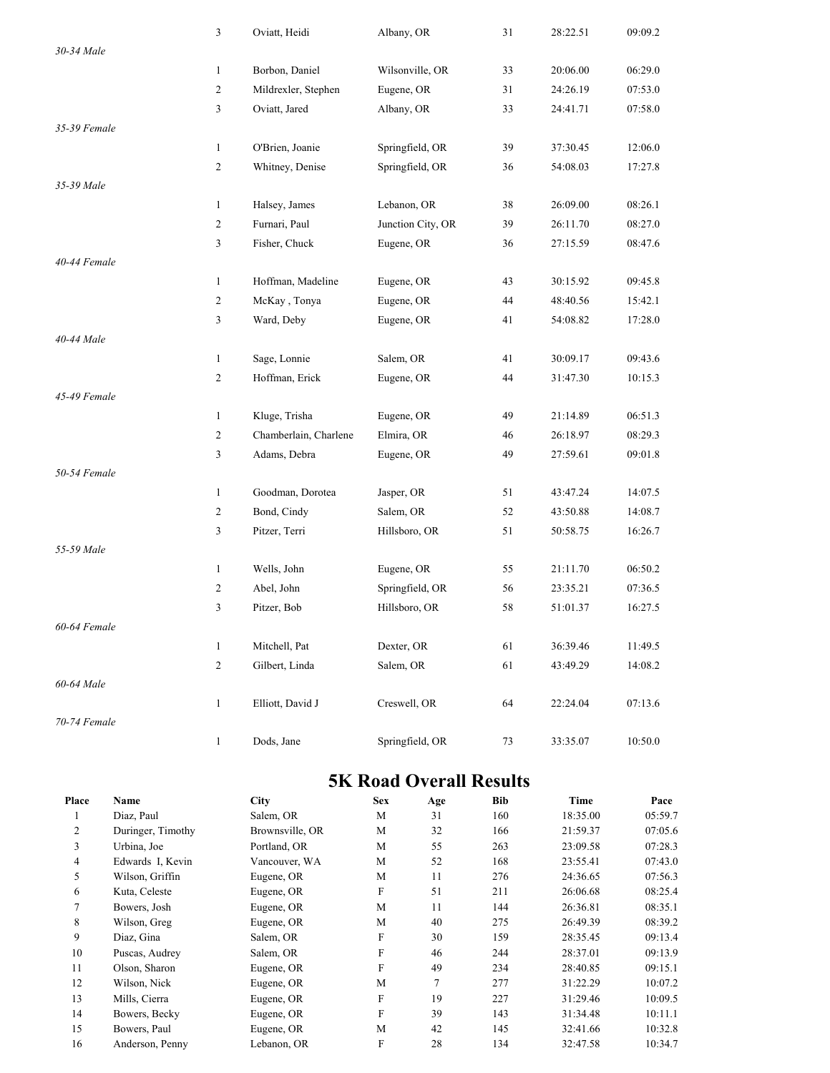|              | 3              | Oviatt, Heidi         | Albany, OR        | 31 | 28:22.51 | 09:09.2 |
|--------------|----------------|-----------------------|-------------------|----|----------|---------|
| 30-34 Male   |                |                       |                   |    |          |         |
|              | $\mathbf{1}$   | Borbon, Daniel        | Wilsonville, OR   | 33 | 20:06.00 | 06:29.0 |
|              | $\overline{c}$ | Mildrexler, Stephen   | Eugene, OR        | 31 | 24:26.19 | 07:53.0 |
|              | 3              | Oviatt, Jared         | Albany, OR        | 33 | 24:41.71 | 07:58.0 |
| 35-39 Female |                |                       |                   |    |          |         |
|              | $\mathbf{1}$   | O'Brien, Joanie       | Springfield, OR   | 39 | 37:30.45 | 12:06.0 |
|              | $\overline{c}$ | Whitney, Denise       | Springfield, OR   | 36 | 54:08.03 | 17:27.8 |
| 35-39 Male   |                |                       |                   |    |          |         |
|              | $\mathbf{1}$   | Halsey, James         | Lebanon, OR       | 38 | 26:09.00 | 08:26.1 |
|              | $\overline{c}$ | Furnari, Paul         | Junction City, OR | 39 | 26:11.70 | 08:27.0 |
|              | 3              | Fisher, Chuck         | Eugene, OR        | 36 | 27:15.59 | 08:47.6 |
| 40-44 Female |                |                       |                   |    |          |         |
|              | 1              | Hoffman, Madeline     | Eugene, OR        | 43 | 30:15.92 | 09:45.8 |
|              | $\overline{c}$ | McKay, Tonya          | Eugene, OR        | 44 | 48:40.56 | 15:42.1 |
|              | 3              | Ward, Deby            | Eugene, OR        | 41 | 54:08.82 | 17:28.0 |
| 40-44 Male   |                |                       |                   |    |          |         |
|              | $\mathbf{1}$   | Sage, Lonnie          | Salem, OR         | 41 | 30:09.17 | 09:43.6 |
|              | $\overline{c}$ | Hoffman, Erick        | Eugene, OR        | 44 | 31:47.30 | 10:15.3 |
| 45-49 Female |                |                       |                   |    |          |         |
|              | $\mathbf{1}$   | Kluge, Trisha         | Eugene, OR        | 49 | 21:14.89 | 06:51.3 |
|              | $\overline{c}$ | Chamberlain, Charlene | Elmira, OR        | 46 | 26:18.97 | 08:29.3 |
|              | 3              | Adams, Debra          | Eugene, OR        | 49 | 27:59.61 | 09:01.8 |
| 50-54 Female |                |                       |                   |    |          |         |
|              | 1              | Goodman, Dorotea      | Jasper, OR        | 51 | 43:47.24 | 14:07.5 |
|              | $\overline{c}$ | Bond, Cindy           | Salem, OR         | 52 | 43:50.88 | 14:08.7 |
|              | 3              | Pitzer, Terri         | Hillsboro, OR     | 51 | 50:58.75 | 16:26.7 |
| 55-59 Male   |                |                       |                   |    |          |         |
|              | $\mathbf{1}$   | Wells, John           | Eugene, OR        | 55 | 21:11.70 | 06:50.2 |
|              | $\overline{c}$ | Abel, John            | Springfield, OR   | 56 | 23:35.21 | 07:36.5 |
|              | 3              | Pitzer, Bob           | Hillsboro, OR     | 58 | 51:01.37 | 16:27.5 |
| 60-64 Female |                |                       |                   |    |          |         |
|              | $\mathbf{1}$   | Mitchell, Pat         | Dexter, OR        | 61 | 36:39.46 | 11:49.5 |
|              | $\sqrt{2}$     | Gilbert, Linda        | Salem, OR         | 61 | 43:49.29 | 14:08.2 |
| 60-64 Male   |                |                       |                   |    |          |         |
|              | $\mathbf{1}$   | Elliott, David J      | Creswell, OR      | 64 | 22:24.04 | 07:13.6 |
| 70-74 Female |                |                       |                   |    |          |         |
|              | $\mathbf{1}$   | Dods, Jane            | Springfield, OR   | 73 | 33:35.07 | 10:50.0 |

#### **5K Road Overall Results**

| Place          | <b>Name</b>       | <b>City</b>     | <b>Sex</b> | Age | <b>Bib</b> | Time     | Pace    |
|----------------|-------------------|-----------------|------------|-----|------------|----------|---------|
|                | Diaz, Paul        | Salem, OR       | M          | 31  | 160        | 18:35.00 | 05:59.7 |
| 2              | Duringer, Timothy | Brownsville, OR | M          | 32  | 166        | 21:59.37 | 07:05.6 |
| 3              | Urbina, Joe       | Portland, OR    | M          | 55  | 263        | 23:09.58 | 07:28.3 |
| $\overline{4}$ | Edwards I, Kevin  | Vancouver, WA   | M          | 52  | 168        | 23:55.41 | 07:43.0 |
| 5              | Wilson, Griffin   | Eugene, OR      | M          | 11  | 276        | 24:36.65 | 07:56.3 |
| 6              | Kuta, Celeste     | Eugene, OR      | F          | 51  | 211        | 26:06.68 | 08:25.4 |
| 7              | Bowers, Josh      | Eugene, OR      | M          | 11  | 144        | 26:36.81 | 08:35.1 |
| 8              | Wilson, Greg      | Eugene, OR      | M          | 40  | 275        | 26:49.39 | 08:39.2 |
| 9              | Diaz, Gina        | Salem, OR       | F          | 30  | 159        | 28:35.45 | 09:13.4 |
| 10             | Puscas, Audrey    | Salem, OR       | F          | 46  | 244        | 28:37.01 | 09:13.9 |
| 11             | Olson, Sharon     | Eugene, OR      | F          | 49  | 234        | 28:40.85 | 09:15.1 |
| 12             | Wilson, Nick      | Eugene, OR      | M          | 7   | 277        | 31:22.29 | 10:07.2 |
| 13             | Mills, Cierra     | Eugene, OR      | F          | 19  | 227        | 31:29.46 | 10:09.5 |
| 14             | Bowers, Becky     | Eugene, OR      | F          | 39  | 143        | 31:34.48 | 10:11.1 |
| 15             | Bowers, Paul      | Eugene, OR      | M          | 42  | 145        | 32:41.66 | 10:32.8 |
| 16             | Anderson, Penny   | Lebanon, OR     | F          | 28  | 134        | 32:47.58 | 10:34.7 |